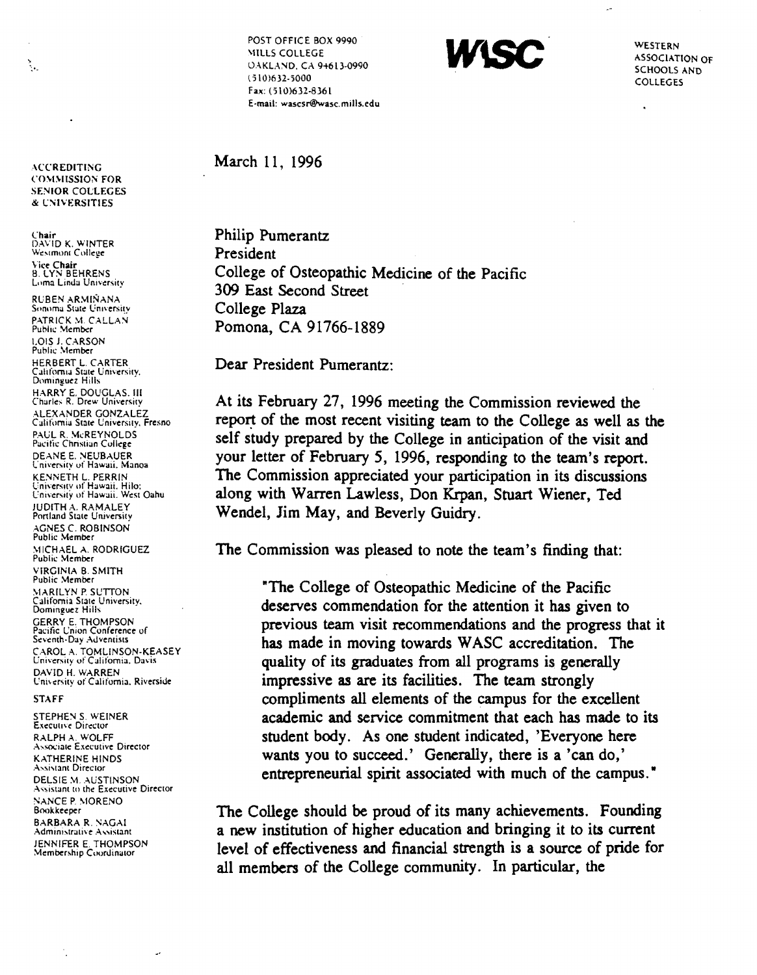**ACCREDITING COMMISSION FOR SENIOR COLLEGES** & UNIVERSITIES

٠.

Chair<br>DAVID K. WINTER Westmont College Vice Chair<br>B. LYN BEHRENS Loma Linda University

RUBEN ARMIÑANA Sonoma State University PATRICK M. CALLAN<br>Public Member **LOIS J. CARSON** Public Member HERBERT L. CARTER California State University, Dominguez Hills HARRY E. DOUGLAS. III Charles R. Drew University ALEXANDER GONZALEZ<br>California State University, Fresno PAUL R. McREYNOLDS<br>Pacific Christian College DEANE E. NEUBAUER University of Hawaii, Manoa **KENNETH L. PERRIN** University of Hawaii, Hilo:<br>University of Hawaii, West Oahu JUDITH A. RAMALEY Portland State University AGNES C. ROBINSON<br>Public Member MICHAEL A. RODRIGUEZ Public Member VIRGINIA B. SMITH **Public Member MARILYN P. SUTTON** California State University, Dominguez Hills **GERRY E. THOMPSON** Pacific Union Conference of Seventh-Day Adventists CAROL A. TOMLINSON-KEASEY University of California, Davis DAVID H. WARREN University of California, Riverside

## **STAFF**

STEPHEN S. WEINER **Executive Director** RALPH A. WOLFF **Associate Executive Director KATHERINE HINDS Assistant Director** DELSIE M. AUSTINSON Assistant to the Executive Director **NANCE P. MORENO** Bookkeeper **BARBARA R. NAGAI** Administrative Assistant **JENNIFER E. THOMPSON**<br>Membership Coordinator

Ü,

POST OFFICE BOX 9990 MILLS COLLEGE **OAKLAND, CA 94613-0990**  $(510)632 - 5000$ Fax: (510)632-8361 E-mail: wascsr@wasc.mills.edu



WESTERN **ASSOCIATION OF SCHOOLS AND** COLLEGES

 $\mathbf{r}$ 

## March 11, 1996

Philip Pumerantz President College of Osteopathic Medicine of the Pacific 309 East Second Street College Plaza Pomona, CA 91766-1889

Dear President Pumerantz:

At its February 27, 1996 meeting the Commission reviewed the report of the most recent visiting team to the College as well as the self study prepared by the College in anticipation of the visit and your letter of February 5, 1996, responding to the team's report. The Commission appreciated your participation in its discussions along with Warren Lawless, Don Krpan, Stuart Wiener, Ted Wendel, Jim May, and Beverly Guidry.

The Commission was pleased to note the team's finding that:

"The College of Osteopathic Medicine of the Pacific deserves commendation for the attention it has given to previous team visit recommendations and the progress that it has made in moving towards WASC accreditation. The quality of its graduates from all programs is generally impressive as are its facilities. The team strongly compliments all elements of the campus for the excellent academic and service commitment that each has made to its student body. As one student indicated, 'Everyone here wants you to succeed.' Generally, there is a 'can do,' entrepreneurial spirit associated with much of the campus."

The College should be proud of its many achievements. Founding a new institution of higher education and bringing it to its current level of effectiveness and financial strength is a source of pride for all members of the College community. In particular, the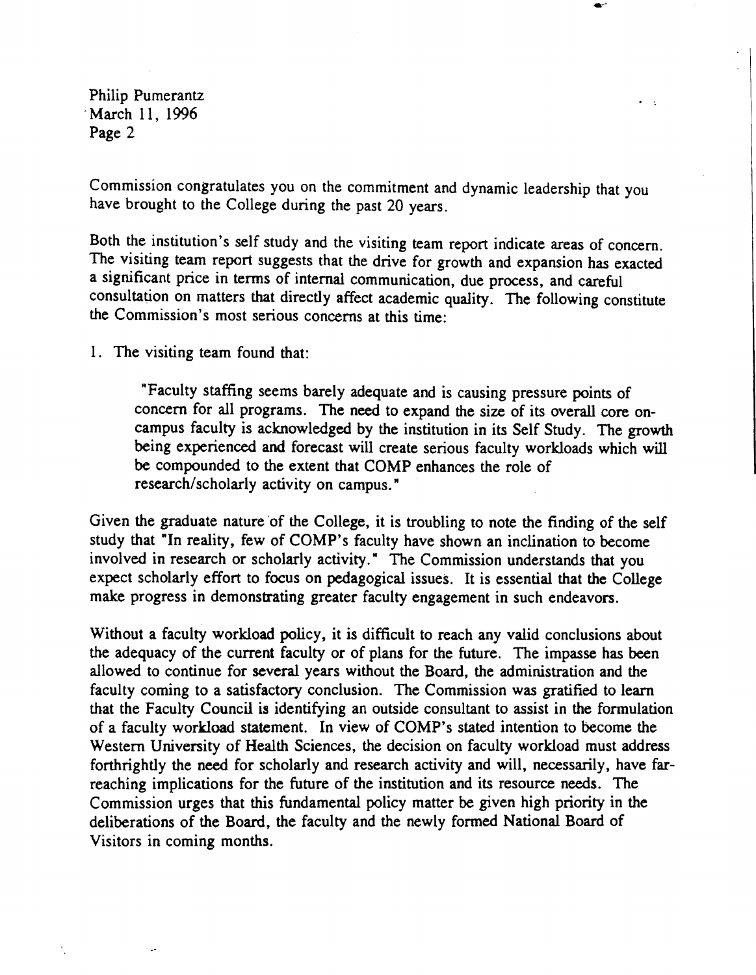Philip Pumerantz March 11, 1996 Page 2

Commission congratulates you on the commitment and dynamic leadership that you have brought to the College during the past 20 years.

 $\bullet$ .

 $\bullet$  .  $\bullet$ 

Both the institution's self study and the visiting team report indicate areas of concern. The visiting team report suggests that the drive for growth and expansion has exacted a significant price in terms of internal communication, due process, and careful consultation on matters that directly affect academic quality. The following constitute the Commission's most serious concerns at this time:

1. The visiting team found that:

"Faculty staffing seems barely adequate and is causing pressure points of concern for all programs. The need to expand the size of its overall core oncampus faculty is acknowledged by the institution in its Self Study. The growth being experienced and forecast will create serious faculty workloads which will be compounded to the extent that COMP enhances the role of research/scholarly activity on campus."

Given the graduate nature of the College, it is troubling to note the finding of the self study that "In reality, few of COMP's faculty have shown an inclination to become involved in research or scholarly activity." The Commission understands that you expect scholarly effort to focus on pedagogical issues. It is essential that the College make progress in demonstrating greater faculty engagement in such endeavors.

Without a faculty workload policy, it is difficult to reach any valid conclusions about the adequacy of the current faculty or of plans for the future. The impasse has been allowed to continue for several years without the Board, the administration and the faculty coming to a satisfactory conclusion. The Commission was gratified to learn that the Faculty Council is identifying an outside consultant to assist in the formulation of a faculty workload statement. In view of COMP's stated intention to become the Western University of Health Sciences, the decision on faculty workload must address forthrightly the need for scholarly and research activity and will, necessarily, have farreaching implications for the future of the institution and its resource needs. The Commission urges that this fundamental policy matter be given high priority in the deliberations of the Board, the faculty and the newly formed National Board of Visitors in coming months.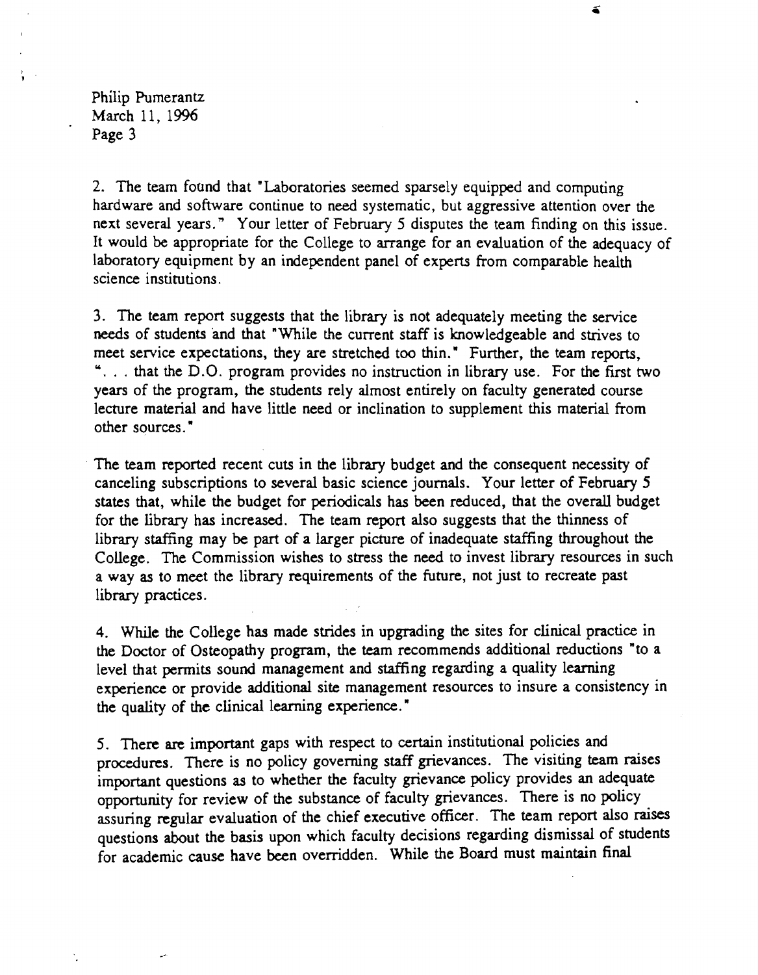Philip Pumerantz March 11. 1996 Page 3

2. The team found that "Laboratories seemed sparsely equipped and computing hardware and software continue to need systematic, but aggressive attention over the next several years." Your letter of February 5 disputes the team finding on this issue. It would be appropriate for the College to arrange for an evaluation of the adequacy of laboratory equipment by an independent panel of experts from comparable health science institutions.

 $\leq$ 

3. The team report suggests that the library is not adequately meeting the service needs of students and that "While the current staff is knowledgeable and strives to meet service expectations, they are stretched too thin." Further, the team reports, ". . . that the D.O. program provides no instruction in library use. For the first two years of the program, the students rely almost entirely on faculty generated course lecture material and have little need or inclination to supplement this material from other sources. "

The team reported recent cuts in the library budget and the consequent necessity of canceling subscriptions to several basic science journals. Your letter of February 5 states that, while the budget for periodicals has been reduced, that the overall budget for the library has increased. The team report also suggests that the thinness of library staffing may be part of a larger picture of inadequate staffing throughout the College. The Commission wishes to stress the need to invest library resources in such a way as to meet the library requirements of the future, not just to recreate past library practices.

4. While the College has made strides in upgrading the sites for clinical practice in the Doctor of Osteopathy program, the team recommends additional reductions "to a level that permits sound management and staffing regarding a quality learning experience or provide additional site management resources to insure a consistency in the quality of the clinical learning experience."

5. There are important gaps with respect to certain institutional policies and procedures. There is no policy governing staff grievances. The visiting team raises important questions as to whether the faculty grievance policy provides an adequate opportunity for review of the substance of faculty grievances. There is no policy assuring regular evaluation of the chief executive officer. The team report also raises questions about the basis upon which faculty decisions regarding dismissal of students for academic cause have been overridden. While the Board must maintain final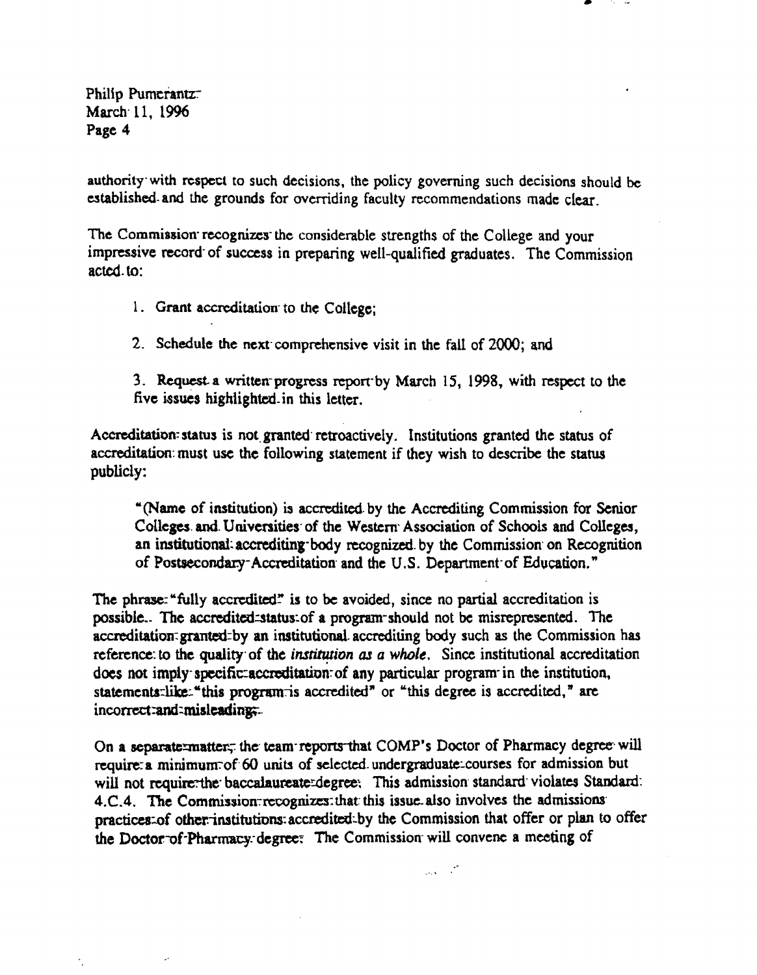Philip Pumerantz March 11, 1996 Page 4

authority with respect to such decisions, the policy governing such decisions should be established and the grounds for overriding faculty recommendations made clear.

The Commission recognizes the considerable strengths of the College and your impressive record of success in preparing well-qualified graduates. The Commission acted.to:

- 1. Grant accreditation to the College:
- 2. Schedule the next comprehensive visit in the fall of 2000; and

3. Request a written progress report by March 15, 1998, with respect to the five issues highlighted in this letter.

Accreditation status is not granted retroactively. Institutions granted the status of accreditation must use the following statement if they wish to describe the status publicly:

"(Name of institution) is accredited by the Accrediting Commission for Senior Colleges and Universities of the Western Association of Schools and Colleges, an institutional accrediting body recognized by the Commission on Recognition of Postsecondary-Accreditation and the U.S. Department of Education."

The phrase: "fully accredited" is to be avoided, since no partial accreditation is possible.. The accredited status of a program should not be misrepresented. The accreditation granted by an institutional accrediting body such as the Commission has reference to the quality of the institution as a whole. Since institutional accreditation does not imply specific accreditation of any particular program in the institution, statements like: "this program is accredited" or "this degree is accredited," are incorrect: and: misleading;...

On a separate-matter, the team reports that COMP's Doctor of Pharmacy degree will require a minimum of 60 units of selected undergraduate courses for admission but will not require the baccalaureate degree. This admission standard violates Standard: 4.C.4. The Commission recognizes that this issue also involves the admissions practices of other institutions accredited by the Commission that offer or plan to offer the Doctor of Pharmacy degree: The Commission will convene a meeting of

 $\mathcal{L}_{\text{c}} = \mathcal{L}$